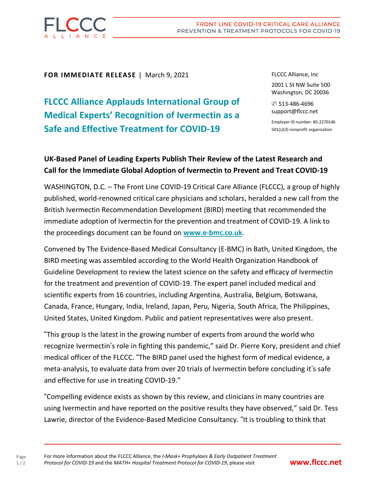

**FOR IMMEDIATE RELEASE** | March 9, 2021

**FLCCC Alliance Applauds International Group of Medical Experts' Recognition of Ivermectin as a Safe and Effective Treatment for COVID-19**

FLCCC Alliance, Inc

2001 L St NW Suite 500 Washington, DC 20036

✆ 513-486-4696 support@flccc.net

Employer ID number: 85-2270146 501(c)(3) nonprofit organization

## **UK-Based Panel of Leading Experts Publish Their Review of the Latest Research and Call for the Immediate Global Adoption of Ivermectin to Prevent and Treat COVID-19**

WASHINGTON, D.C. – The Front Line COVID-19 Critical Care Alliance (FLCCC), a group of highly published, world-renowned critical care physicians and scholars, heralded a new call from the British Ivermectin Recommendation Development (BIRD) meeting that recommended the immediate adoption of Ivermectin for the prevention and treatment of COVID-19. A link to the proceedings document can be found on **[www.e-bmc.co.uk](https://www.e-bmc.co.uk/)**.

Convened by The Evidence-Based Medical Consultancy (E-BMC) in Bath, United Kingdom, the BIRD meeting was assembled according to the World Health Organization Handbook of Guideline Development to review the latest science on the safety and efficacy of Ivermectin for the treatment and prevention of COVID-19. The expert panel included medical and scientific experts from 16 countries, including Argentina, Australia, Belgium, Botswana, Canada, France, Hungary, India, Ireland, Japan, Peru, Nigeria, South Africa, The Philippines, United States, United Kingdom. Public and patient representatives were also present.

"This group is the latest in the growing number of experts from around the world who recognize Ivermectin's role in fighting this pandemic," said Dr. Pierre Kory, president and chief medical officer of the FLCCC. "The BIRD panel used the highest form of medical evidence, a meta-analysis, to evaluate data from over 20 trials of Ivermectin before concluding it's safe and effective for use in treating COVID-19."

"Compelling evidence exists as shown by this review, and clinicians in many countries are using Ivermectin and have reported on the positive results they have observed," said Dr. Tess Lawrie, director of the Evidence-Based Medicine Consultancy. "It is troubling to think that